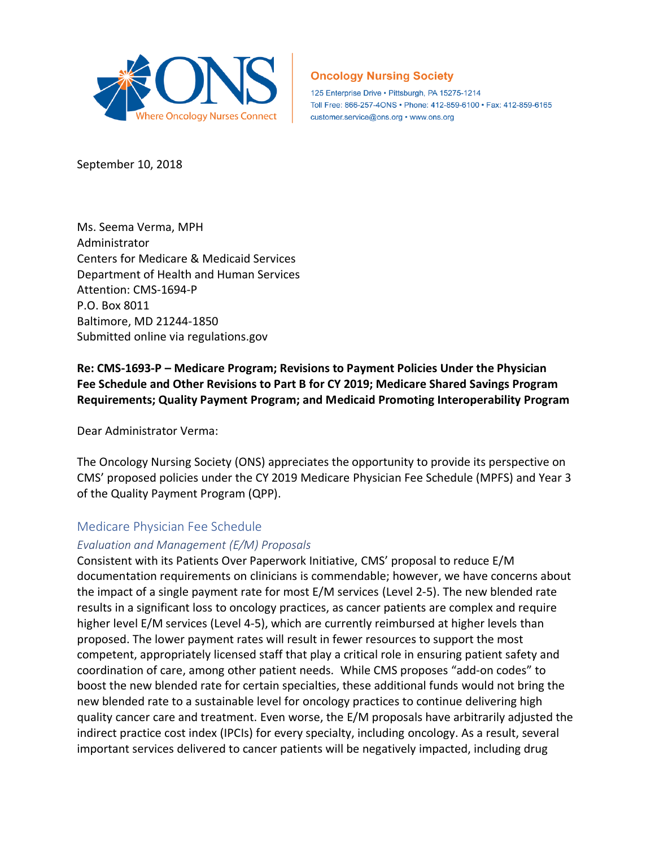

# **Oncology Nursing Society**

125 Enterprise Drive · Pittsburgh, PA 15275-1214 Toll Free: 866-257-4ONS · Phone: 412-859-6100 · Fax: 412-859-6165 customer.service@ons.org • www.ons.org

September 10, 2018

Ms. Seema Verma, MPH Administrator Centers for Medicare & Medicaid Services Department of Health and Human Services Attention: CMS-1694-P P.O. Box 8011 Baltimore, MD 21244-1850 Submitted online via regulations.gov

**Re: CMS-1693-P – Medicare Program; Revisions to Payment Policies Under the Physician Fee Schedule and Other Revisions to Part B for CY 2019; Medicare Shared Savings Program Requirements; Quality Payment Program; and Medicaid Promoting Interoperability Program**

Dear Administrator Verma:

The Oncology Nursing Society (ONS) appreciates the opportunity to provide its perspective on CMS' proposed policies under the CY 2019 Medicare Physician Fee Schedule (MPFS) and Year 3 of the Quality Payment Program (QPP).

# Medicare Physician Fee Schedule

# *Evaluation and Management (E/M) Proposals*

Consistent with its Patients Over Paperwork Initiative, CMS' proposal to reduce E/M documentation requirements on clinicians is commendable; however, we have concerns about the impact of a single payment rate for most E/M services (Level 2-5). The new blended rate results in a significant loss to oncology practices, as cancer patients are complex and require higher level E/M services (Level 4-5), which are currently reimbursed at higher levels than proposed. The lower payment rates will result in fewer resources to support the most competent, appropriately licensed staff that play a critical role in ensuring patient safety and coordination of care, among other patient needs. While CMS proposes "add-on codes" to boost the new blended rate for certain specialties, these additional funds would not bring the new blended rate to a sustainable level for oncology practices to continue delivering high quality cancer care and treatment. Even worse, the E/M proposals have arbitrarily adjusted the indirect practice cost index (IPCIs) for every specialty, including oncology. As a result, several important services delivered to cancer patients will be negatively impacted, including drug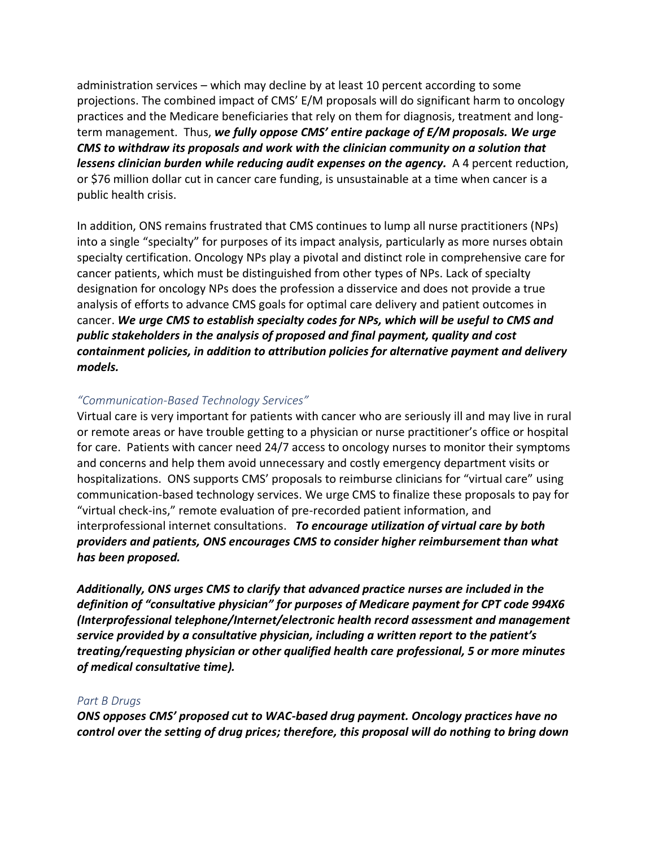administration services – which may decline by at least 10 percent according to some projections. The combined impact of CMS' E/M proposals will do significant harm to oncology practices and the Medicare beneficiaries that rely on them for diagnosis, treatment and longterm management. Thus, *we fully oppose CMS' entire package of E/M proposals. We urge CMS to withdraw its proposals and work with the clinician community on a solution that lessens clinician burden while reducing audit expenses on the agency.* A 4 percent reduction, or \$76 million dollar cut in cancer care funding, is unsustainable at a time when cancer is a public health crisis.

In addition, ONS remains frustrated that CMS continues to lump all nurse practitioners (NPs) into a single "specialty" for purposes of its impact analysis, particularly as more nurses obtain specialty certification. Oncology NPs play a pivotal and distinct role in comprehensive care for cancer patients, which must be distinguished from other types of NPs. Lack of specialty designation for oncology NPs does the profession a disservice and does not provide a true analysis of efforts to advance CMS goals for optimal care delivery and patient outcomes in cancer. We urge CMS to establish specialty codes for NPs, which will be useful to CMS and *public stakeholders in the analysis of proposed and final payment, quality and cost containment policies, in addition to attribution policies for alternative payment and delivery models.*

# *"Communication-Based Technology Services"*

Virtual care is very important for patients with cancer who are seriously ill and may live in rural or remote areas or have trouble getting to a physician or nurse practitioner's office or hospital for care. Patients with cancer need 24/7 access to oncology nurses to monitor their symptoms and concerns and help them avoid unnecessary and costly emergency department visits or hospitalizations. ONS supports CMS' proposals to reimburse clinicians for "virtual care" using communication-based technology services. We urge CMS to finalize these proposals to pay for "virtual check-ins," remote evaluation of pre-recorded patient information, and interprofessional internet consultations. *To encourage utilization of virtual care by both providers and patients, ONS encourages CMS to consider higher reimbursement than what has been proposed.*

*Additionally, ONS urges CMS to clarify that advanced practice nurses are included in the definition of "consultative physician" for purposes of Medicare payment for CPT code 994X6 (Interprofessional telephone/Internet/electronic health record assessment and management service provided by a consultative physician, including a written report to the patient's treating/requesting physician or other qualified health care professional, 5 or more minutes of medical consultative time).* 

#### *Part B Drugs*

*ONS opposes CMS' proposed cut to WAC-based drug payment. Oncology practices have no control over the setting of drug prices; therefore, this proposal will do nothing to bring down*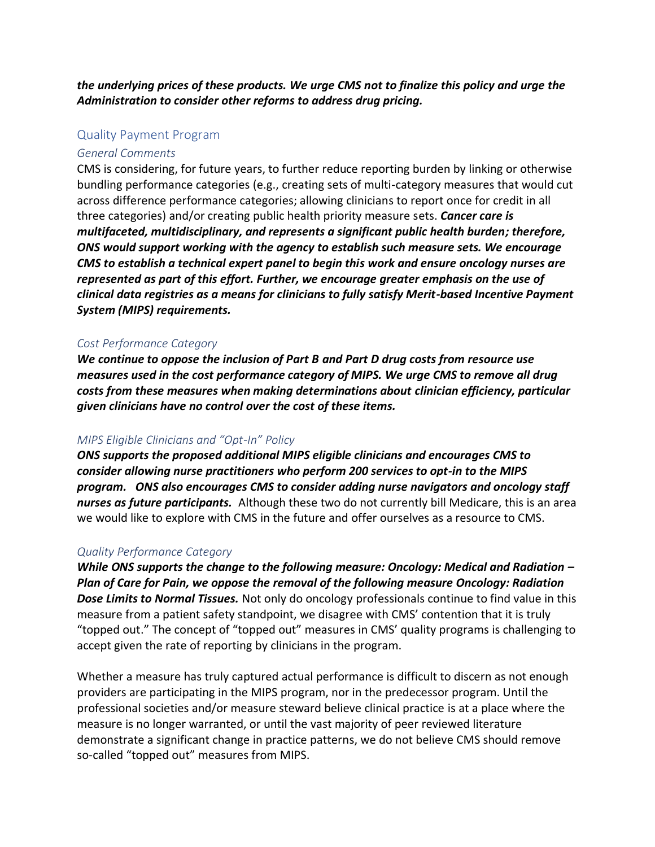*the underlying prices of these products. We urge CMS not to finalize this policy and urge the Administration to consider other reforms to address drug pricing.*

# Quality Payment Program

### *General Comments*

CMS is considering, for future years, to further reduce reporting burden by linking or otherwise bundling performance categories (e.g., creating sets of multi-category measures that would cut across difference performance categories; allowing clinicians to report once for credit in all three categories) and/or creating public health priority measure sets. *Cancer care is multifaceted, multidisciplinary, and represents a significant public health burden; therefore, ONS would support working with the agency to establish such measure sets. We encourage CMS to establish a technical expert panel to begin this work and ensure oncology nurses are represented as part of this effort. Further, we encourage greater emphasis on the use of clinical data registries as a means for clinicians to fully satisfy Merit-based Incentive Payment System (MIPS) requirements.*

### *Cost Performance Category*

*We continue to oppose the inclusion of Part B and Part D drug costs from resource use measures used in the cost performance category of MIPS. We urge CMS to remove all drug costs from these measures when making determinations about clinician efficiency, particular given clinicians have no control over the cost of these items.* 

## *MIPS Eligible Clinicians and "Opt-In" Policy*

*ONS supports the proposed additional MIPS eligible clinicians and encourages CMS to consider allowing nurse practitioners who perform 200 services to opt-in to the MIPS program. ONS also encourages CMS to consider adding nurse navigators and oncology staff nurses as future participants.* Although these two do not currently bill Medicare, this is an area we would like to explore with CMS in the future and offer ourselves as a resource to CMS.

#### *Quality Performance Category*

*While ONS supports the change to the following measure: Oncology: Medical and Radiation – Plan of Care for Pain, we oppose the removal of the following measure Oncology: Radiation Dose Limits to Normal Tissues.* Not only do oncology professionals continue to find value in this measure from a patient safety standpoint, we disagree with CMS' contention that it is truly "topped out." The concept of "topped out" measures in CMS' quality programs is challenging to accept given the rate of reporting by clinicians in the program.

Whether a measure has truly captured actual performance is difficult to discern as not enough providers are participating in the MIPS program, nor in the predecessor program. Until the professional societies and/or measure steward believe clinical practice is at a place where the measure is no longer warranted, or until the vast majority of peer reviewed literature demonstrate a significant change in practice patterns, we do not believe CMS should remove so-called "topped out" measures from MIPS.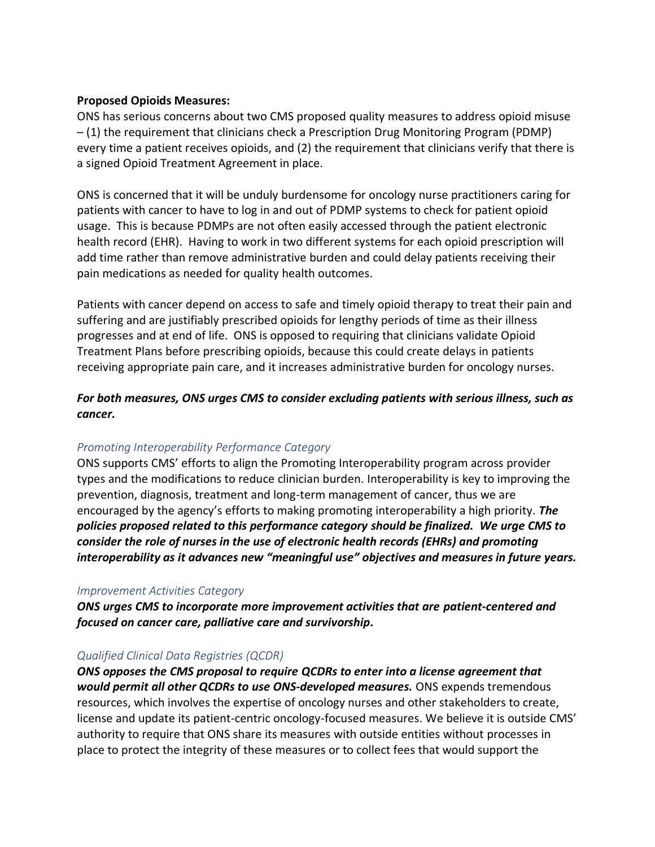## **Proposed Opioids Measures:**

ONS has serious concerns about two CMS proposed quality measures to address opioid misuse – (1) the requirement that clinicians check a Prescription Drug Monitoring Program (PDMP) every time a patient receives opioids, and (2) the requirement that clinicians verify that there is a signed Opioid Treatment Agreement in place.

ONS is concerned that it will be unduly burdensome for oncology nurse practitioners caring for patients with cancer to have to log in and out of PDMP systems to check for patient opioid usage. This is because PDMPs are not often easily accessed through the patient electronic health record (EHR). Having to work in two different systems for each opioid prescription will add time rather than remove administrative burden and could delay patients receiving their pain medications as needed for quality health outcomes.

Patients with cancer depend on access to safe and timely opioid therapy to treat their pain and suffering and are justifiably prescribed opioids for lengthy periods of time as their illness progresses and at end of life. ONS is opposed to requiring that clinicians validate Opioid Treatment Plans before prescribing opioids, because this could create delays in patients receiving appropriate pain care, and it increases administrative burden for oncology nurses.

*For both measures, ONS urges CMS to consider excluding patients with serious illness, such as cancer.*

# *Promoting Interoperability Performance Category*

ONS supports CMS' efforts to align the Promoting Interoperability program across provider types and the modifications to reduce clinician burden. Interoperability is key to improving the prevention, diagnosis, treatment and long-term management of cancer, thus we are encouraged by the agency's efforts to making promoting interoperability a high priority. *The policies proposed related to this performance category should be finalized. We urge CMS to consider the role of nurses in the use of electronic health records (EHRs) and promoting interoperability as it advances new "meaningful use" objectives and measures in future years.*

## *Improvement Activities Category*

*ONS urges CMS to incorporate more improvement activities that are patient-centered and focused on cancer care, palliative care and survivorship.*

# *Qualified Clinical Data Registries (QCDR)*

*ONS opposes the CMS proposal to require QCDRs to enter into a license agreement that would permit all other QCDRs to use ONS-developed measures.* ONS expends tremendous resources, which involves the expertise of oncology nurses and other stakeholders to create, license and update its patient-centric oncology-focused measures. We believe it is outside CMS' authority to require that ONS share its measures with outside entities without processes in place to protect the integrity of these measures or to collect fees that would support the